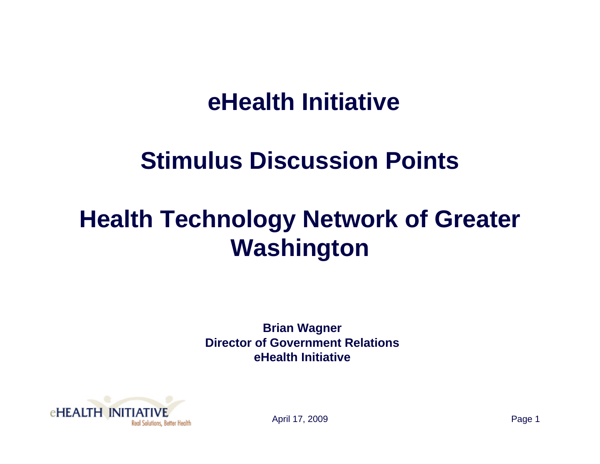#### **eHealth Initiative**

#### **Stimulus Discussion Points**

#### **Health Technology Network of Greater Washington**

**Brian Wagner Director of Government RelationseHealth Initiative**



April 17, 2009 Page 1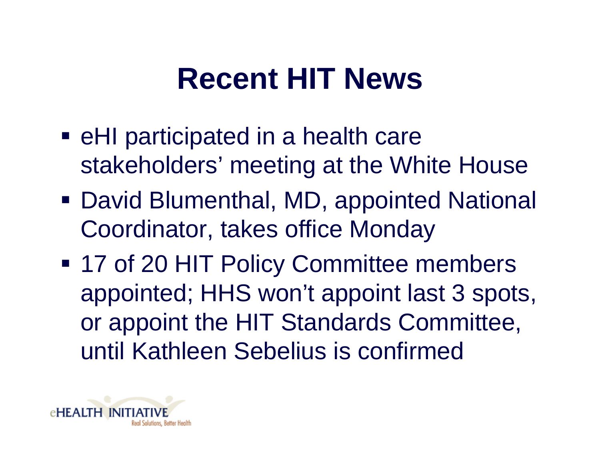## **Recent HIT News**

- **EXA)** eHI participated in a health care stakeholders' meeting at the White House
- David Blumenthal, MD, appointed National Coordinator, takes office Monday
- **17 of 20 HIT Policy Committee members** appointed; HHS won't appoint last 3 spots, or appoint the HIT Standards Committee, until Kathleen Sebelius is confirmed

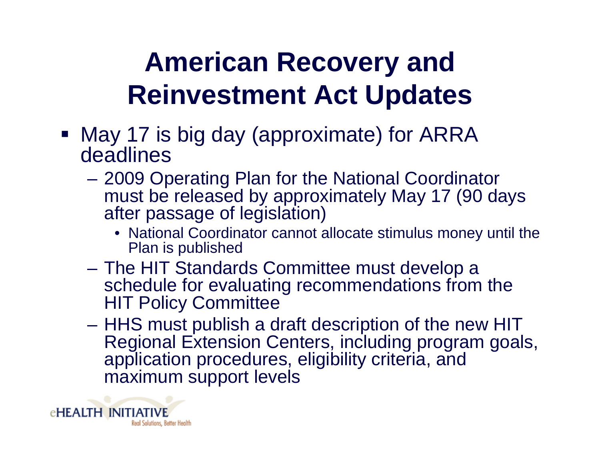### **American Recovery and Reinvestment Act Updates**

- May 17 is big day (approximate) for ARRA deadlines
	- – 2009 Operating Plan for the National Coordinator must be released by approximately May 17 (90 days after passage of legislation)
		- National Coordinator cannot allocate stimulus money until the Plan is published
	- $\mathcal{L}_{\mathcal{A}}$  , and the set of  $\mathcal{L}_{\mathcal{A}}$  The HIT Standards Committee must develop a schedule for evaluating recommendations from the HIT Policy Committee
	- – HHS must publish a draft description of the new HIT Regional Extension Centers, including program goals, application procedures, eligibility criteria, and maximum support levels

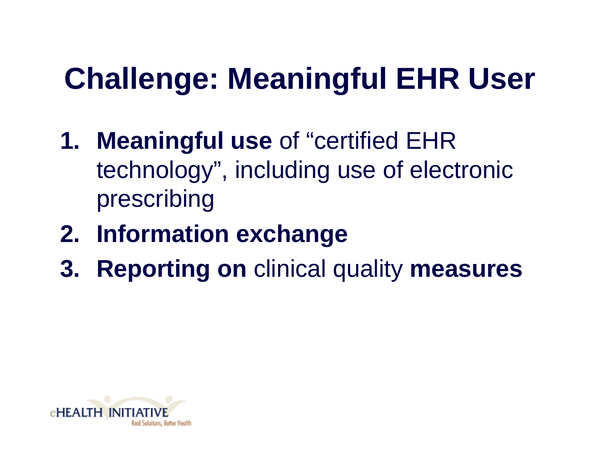# **Challenge: Meaningful EHR User**

- **1. Meaningful use** of "certified EHR technology", including use of electronic prescribing
- **2. Information exchange**
- **3. Reporting on** clinical quality **measures**

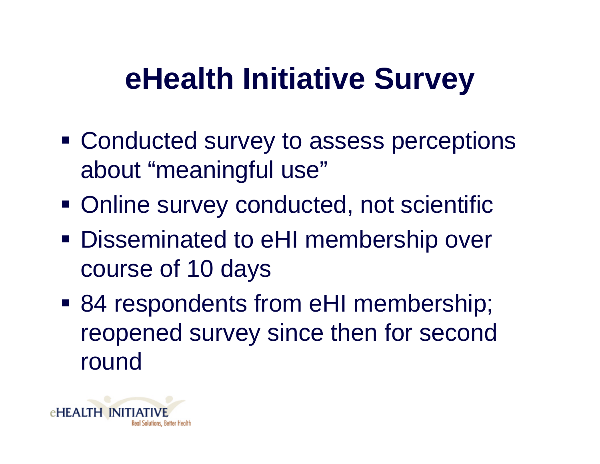### **eHealth Initiative Survey**

- **Example 2 Conducted survey to assess perceptions** about "meaningful use"
- **Online survey conducted, not scientific**
- Disseminated to eHI membership over course of 10 days
- 84 respondents from eHI membership; reopened survey since then for second round

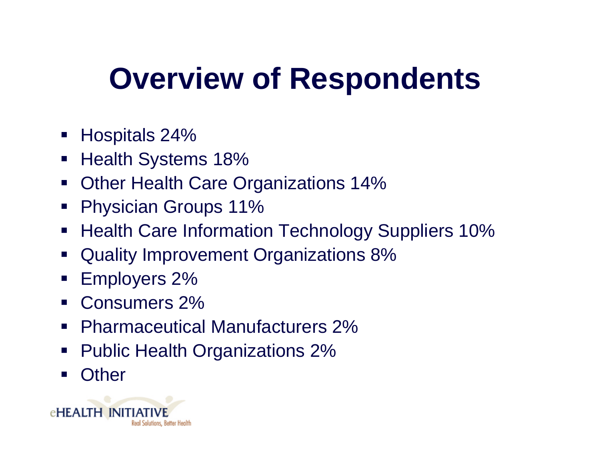## **Overview of Respondents**

- Hospitals 24%
- Health Systems 18%
- $\blacksquare$ Other Health Care Organizations 14%
- Physician Groups 11%
- $\mathcal{L}_{\mathcal{A}}$ Health Care Information Technology Suppliers 10%
- $\mathcal{L}_{\mathcal{A}}$ Quality Improvement Organizations 8%
- Employers 2%
- $\overline{\phantom{a}}$ Consumers 2%
- $\mathcal{L}_{\mathcal{A}}$ Pharmaceutical Manufacturers 2%
- Public Health Organizations 2%
- $\mathcal{L}_{\mathcal{A}}$ **Other**

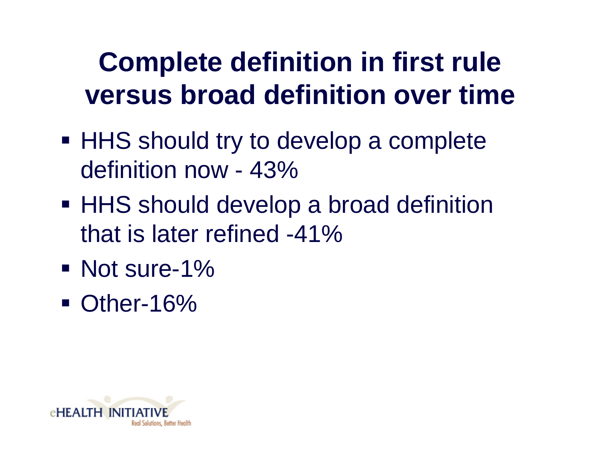#### **Complete definition in first rule versus broad definition over time**

- **HHS should try to develop a complete** definition now - 43%
- HHS should develop a broad definition that is later refined -41%
- Not sure-1%
- **Other-16%**

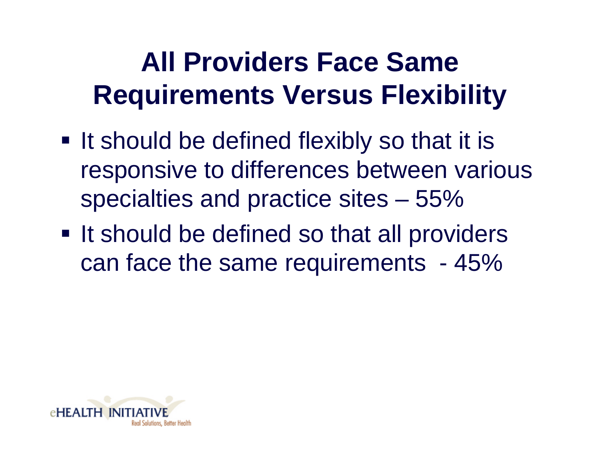#### **All Providers Face Same Requirements Versus Flexibility**

- **If should be defined flexibly so that it is** responsive to differences between various specialties and practice sites – 55%
- **If should be defined so that all providers** can face the same requirements - 45%

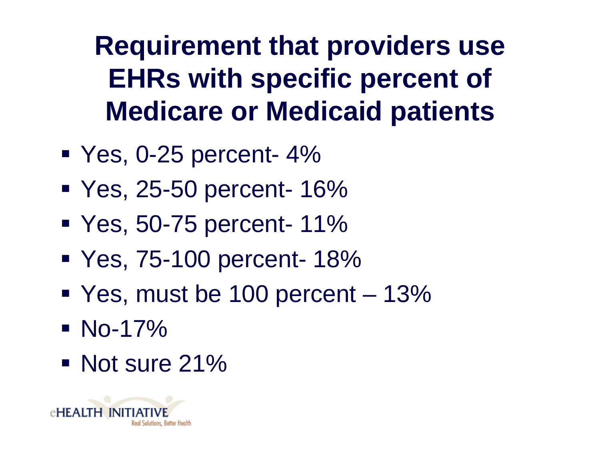**Requirement that providers use EHRs with specific percent of Medicare or Medicaid patients**

- Yes, 0-25 percent- 4%
- Yes, 25-50 percent- 16%
- Yes, 50-75 percent- 11%
- Yes, 75-100 percent- 18%
- Yes, must be 100 percent 13%
- No-17%
- Not sure 21%

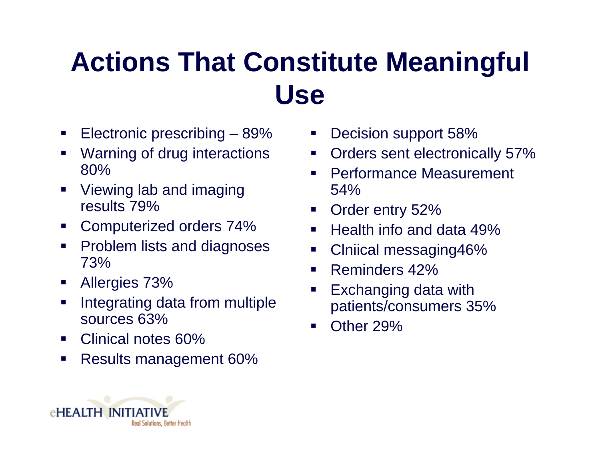#### **Actions That Constitute Meaningful Use**

- $\mathcal{L}_{\mathcal{A}}$ Electronic prescribing – 89%
- l. Warning of drug interactions 80%
- $\blacksquare$  Viewing lab and imaging results 79%
- $\blacksquare$ Computerized orders 74%
- $\blacksquare$  Problem lists and diagnoses 73%
- $\blacksquare$ Allergies 73%
- П Integrating data from multiple sources 63%
- $\blacksquare$ Clinical notes 60%
- П Results management 60%
- $\mathbb{R}^2$ Decision support 58%
- $\blacksquare$ Orders sent electronically 57%
- $\mathbb{R}^2$  Performance Measurement 54%
- $\mathbb{R}^2$ Order entry 52%
- l. Health info and data 49%
- k. Clniical messaging46%
- $\blacksquare$ Reminders 42%
- $\blacksquare$  Exchanging data with patients/consumers 35%
- $\mathbb{R}^2$ Other 29%

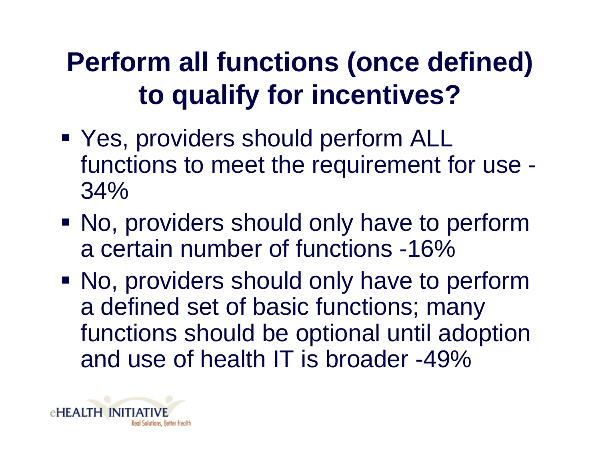### **Perform all functions (once defined) to qualify for incentives?**

- Yes, providers should perform ALL functions to meet the requirement for use - 34%
- No, providers should only have to perform a certain number of functions -16%
- No, providers should only have to perform a defined set of basic functions; many functions should be optional until adoption and use of health IT is broader -49%

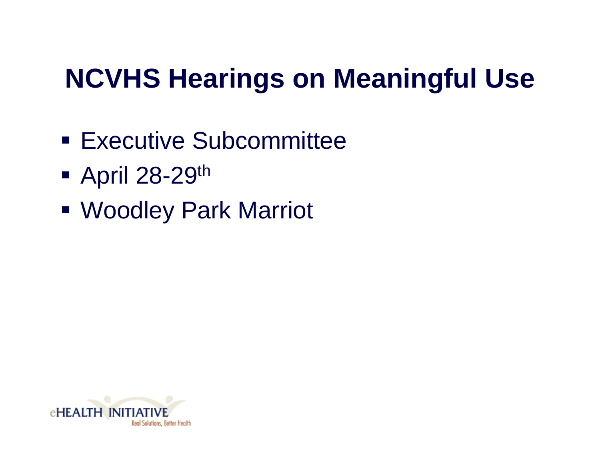### **NCVHS Hearings on Meaningful Use**

- **Executive Subcommittee**
- **April 28-29th**
- Woodley Park Marriot

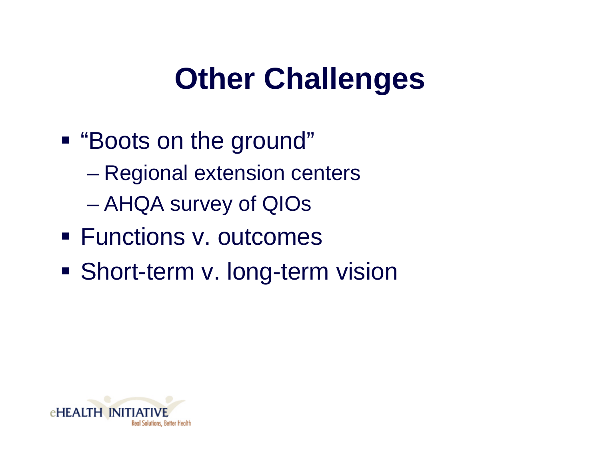## **Other Challenges**

- "Boots on the ground"
	- Regional extension centers
	- AHQA survey of QIOs
- Functions v. outcomes
- **Short-term v. long-term vision**